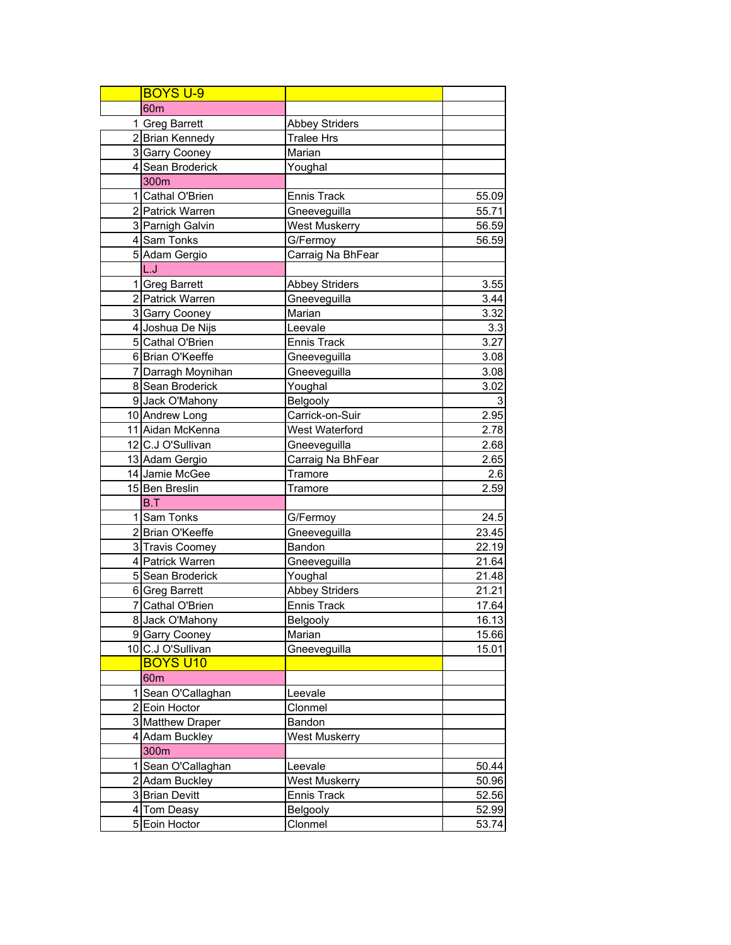| <b>BOYS U-9</b>                      |                       |                |
|--------------------------------------|-----------------------|----------------|
| 60 <sub>m</sub>                      |                       |                |
| 1 Greg Barrett                       | <b>Abbey Striders</b> |                |
| 2 Brian Kennedy                      | <b>Tralee Hrs</b>     |                |
| 3 Garry Cooney                       | Marian                |                |
| 4 Sean Broderick                     | Youghal               |                |
| 300m                                 |                       |                |
| 1 Cathal O'Brien                     | <b>Ennis Track</b>    | 55.09          |
| 2 Patrick Warren                     | Gneeveguilla          | 55.71          |
| 3 Parnigh Galvin                     | <b>West Muskerry</b>  | 56.59          |
| 4 Sam Tonks                          | G/Fermoy              | 56.59          |
| 5 Adam Gergio                        | Carraig Na BhFear     |                |
| L.J                                  |                       |                |
| 1 Greg Barrett                       | <b>Abbey Striders</b> | 3.55           |
| 2 Patrick Warren                     | Gneeveguilla          | 3.44           |
| 3 Garry Cooney                       | Marian                | 3.32           |
| 4 Joshua De Nijs                     | Leevale               | 3.3            |
| 5 Cathal O'Brien                     | <b>Ennis Track</b>    | 3.27           |
| 6 Brian O'Keeffe                     | Gneeveguilla          | 3.08           |
| 7 Darragh Moynihan                   | Gneeveguilla          | 3.08           |
| 8 Sean Broderick                     | Youghal               | 3.02           |
| 9 Jack O'Mahony                      | Belgooly              | 3              |
| 10 Andrew Long                       | Carrick-on-Suir       | 2.95           |
| 11 Aidan McKenna                     | West Waterford        | 2.78           |
| 12 C.J O'Sullivan                    | Gneeveguilla          | 2.68           |
| 13 Adam Gergio                       | Carraig Na BhFear     | 2.65           |
| 14 Jamie McGee                       | Tramore               | 2.6            |
| 15 Ben Breslin                       | Tramore               | 2.59           |
| B.T                                  |                       |                |
| 1 Sam Tonks                          | G/Fermoy              | 24.5           |
| 2 Brian O'Keeffe                     | Gneeveguilla          | 23.45          |
| 3 Travis Coomey                      | Bandon                | 22.19          |
| 4 Patrick Warren                     | Gneeveguilla          | 21.64          |
| 5 Sean Broderick                     | Youghal               | 21.48          |
| 6 Greg Barrett                       | Abbey Striders        | 21.21          |
| 7 Cathal O'Brien                     | <b>Ennis Track</b>    | 17.64          |
| 8 Jack O'Mahony                      | <b>Belgooly</b>       | 16.13          |
| 9 Garry Cooney                       | Marian                | 15.66          |
| 10 C.J O'Sullivan                    | Gneeveguilla          | 15.01          |
| <b>BOYS U10</b>                      |                       |                |
| 60 <sub>m</sub>                      |                       |                |
| 1 Sean O'Callaghan                   | Leevale               |                |
| 2 Eoin Hoctor                        | Clonmel               |                |
| 3 Matthew Draper                     | Bandon                |                |
| 4 Adam Buckley                       | <b>West Muskerry</b>  |                |
| 300m                                 |                       |                |
|                                      | Leevale               |                |
| 1 Sean O'Callaghan<br>2 Adam Buckley | <b>West Muskerry</b>  | 50.44          |
| 3 Brian Devitt                       | <b>Ennis Track</b>    | 50.96<br>52.56 |
|                                      |                       |                |
| 4 Tom Deasy<br>5 Eoin Hoctor         | Belgooly              | 52.99          |
|                                      | Clonmel               | 53.74          |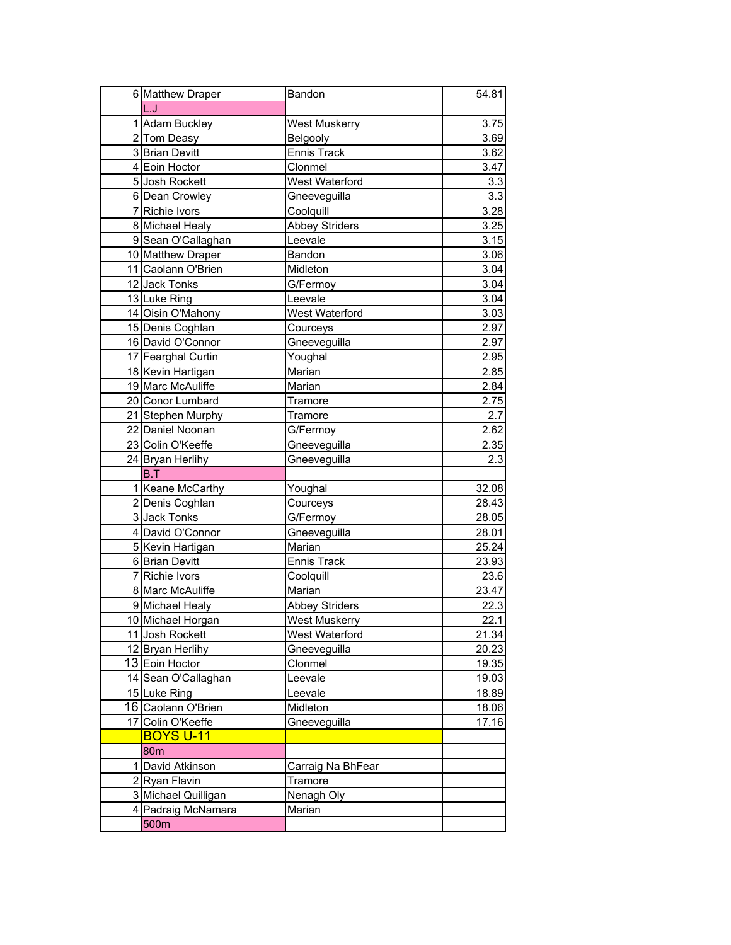| 6 Matthew Draper    | Bandon                | 54.81            |
|---------------------|-----------------------|------------------|
| L.J                 |                       |                  |
| 1 Adam Buckley      | West Muskerry         | 3.75             |
| 2 Tom Deasy         | <b>Belgooly</b>       | 3.69             |
| 3 Brian Devitt      | <b>Ennis Track</b>    | 3.62             |
| 4 Eoin Hoctor       | Clonmel               | 3.47             |
| 5 Josh Rockett      | West Waterford        | 3.3              |
| 6 Dean Crowley      | Gneeveguilla          | 3.3              |
| 7 Richie Ivors      | Coolquill             | 3.28             |
| 8 Michael Healy     | <b>Abbey Striders</b> | 3.25             |
| 9 Sean O'Callaghan  | Leevale               | 3.15             |
| 10 Matthew Draper   | Bandon                | 3.06             |
| 11 Caolann O'Brien  | Midleton              | 3.04             |
| 12 Jack Tonks       | G/Fermoy              | 3.04             |
| 13 Luke Ring        | Leevale               | 3.04             |
| 14 Oisin O'Mahony   | West Waterford        | 3.03             |
| 15 Denis Coghlan    | Courceys              | 2.97             |
| 16 David O'Connor   | Gneeveguilla          | 2.97             |
| 17 Fearghal Curtin  | Youghal               | 2.95             |
| 18 Kevin Hartigan   | Marian                | 2.85             |
| 19 Marc McAuliffe   | Marian                | 2.84             |
| 20 Conor Lumbard    | Tramore               | 2.75             |
| 21 Stephen Murphy   | Tramore               | 2.7              |
| 22 Daniel Noonan    | G/Fermoy              | 2.62             |
| 23 Colin O'Keeffe   | Gneeveguilla          | 2.35             |
| 24 Bryan Herlihy    | Gneeveguilla          | 2.3              |
| B.T                 |                       |                  |
| 1 Keane McCarthy    | Youghal               | 32.08            |
| 2 Denis Coghlan     | Courceys              | 28.43            |
| 3 Jack Tonks        | G/Fermoy              | 28.05            |
| 4 David O'Connor    | Gneeveguilla          | 28.01            |
| 5 Kevin Hartigan    | Marian                | 25.24            |
| 6 Brian Devitt      | <b>Ennis Track</b>    | 23.93            |
| 7 Richie Ivors      | Coolquill             | 23.6             |
| 8 Marc McAuliffe    | Marian                | 23.47            |
| 9 Michael Healy     | <b>Abbey Striders</b> | 22.3             |
| 10 Michael Horgan   | West Muskerry         | $\frac{22.1}{2}$ |
| 11 Josh Rockett     | West Waterford        | 21.34            |
| 12 Bryan Herlihy    | Gneeveguilla          | 20.23            |
| 13 Eoin Hoctor      | Clonmel               | 19.35            |
| 14 Sean O'Callaghan | Leevale               | 19.03            |
| 15 Luke Ring        | Leevale               | 18.89            |
| 16 Caolann O'Brien  | Midleton              | 18.06            |
| 17 Colin O'Keeffe   | Gneeveguilla          | 17.16            |
| <b>BOYS U-11</b>    |                       |                  |
| 80 <sub>m</sub>     |                       |                  |
| 1 David Atkinson    | Carraig Na BhFear     |                  |
| 2 Ryan Flavin       | Tramore               |                  |
| 3 Michael Quilligan | Nenagh Oly            |                  |
| 4 Padraig McNamara  | Marian                |                  |
| 500m                |                       |                  |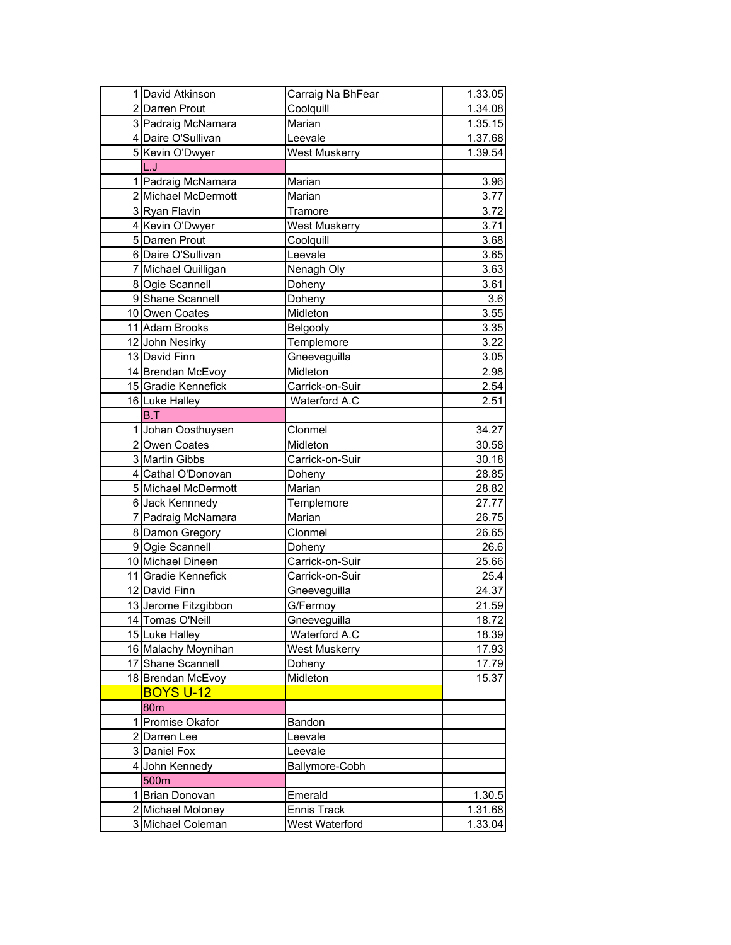| 1 David Atkinson     | Carraig Na BhFear    | 1.33.05          |
|----------------------|----------------------|------------------|
| 2 Darren Prout       | Coolquill            | 1.34.08          |
| 3 Padraig McNamara   | Marian               | 1.35.15          |
| 4 Daire O'Sullivan   | Leevale              | 1.37.68          |
| 5 Kevin O'Dwyer      | West Muskerry        | 1.39.54          |
| L.J                  |                      |                  |
| 1 Padraig McNamara   | Marian               | 3.96             |
| 2 Michael McDermott  | Marian               | 3.77             |
| 3 Ryan Flavin        | Tramore              | 3.72             |
| 4 Kevin O'Dwyer      | <b>West Muskerry</b> | 3.71             |
| 5 Darren Prout       | Coolquill            | 3.68             |
| 6 Daire O'Sullivan   | Leevale              | 3.65             |
| 7 Michael Quilligan  | Nenagh Oly           | 3.63             |
| 8 Ogie Scannell      | Doheny               | 3.61             |
| 9 Shane Scannell     | Doheny               | $\overline{3.6}$ |
| 10 Owen Coates       | Midleton             | 3.55             |
| 11 Adam Brooks       | Belgooly             | 3.35             |
| 12 John Nesirky      | Templemore           | 3.22             |
| 13 David Finn        | Gneeveguilla         | 3.05             |
| 14 Brendan McEvoy    | Midleton             | 2.98             |
| 15 Gradie Kennefick  | Carrick-on-Suir      | 2.54             |
| 16 Luke Halley       | Waterford A.C        | 2.51             |
| B.T                  |                      |                  |
| 1 Johan Oosthuysen   | Clonmel              | 34.27            |
| 2 Owen Coates        | Midleton             |                  |
| 3 Martin Gibbs       | Carrick-on-Suir      | 30.58<br>30.18   |
| 4 Cathal O'Donovan   |                      |                  |
| 5 Michael McDermott  | Doheny<br>Marian     | 28.85            |
|                      |                      | 28.82            |
| 6 Jack Kennnedy      | Templemore           | 27.77            |
| 7 Padraig McNamara   | Marian               | 26.75            |
| 8 Damon Gregory      | Clonmel              | 26.65            |
| 9 Ogie Scannell      | Doheny               | 26.6             |
| 10 Michael Dineen    | Carrick-on-Suir      | 25.66            |
| 11 Gradie Kennefick  | Carrick-on-Suir      | 25.4             |
| 12 David Finn        | Gneeveguilla         | 24.37            |
| 13 Jerome Fitzgibbon | G/Fermoy             | 21.59            |
| 14 Tomas O'Neill     | Gneeveguilla         | 18.72            |
| 15 Luke Halley       | Waterford A.C        | 18.39            |
| 16 Malachy Moynihan  | <b>West Muskerry</b> | 17.93            |
| 17 Shane Scannell    | Doheny               | 17.79            |
| 18 Brendan McEvoy    | Midleton             | 15.37            |
| <b>BOYS U-12</b>     |                      |                  |
| <b>80m</b>           |                      |                  |
| 1 Promise Okafor     | Bandon               |                  |
| 2 Darren Lee         | Leevale              |                  |
| 3 Daniel Fox         | Leevale              |                  |
| 4 John Kennedy       | Ballymore-Cobh       |                  |
| 500m                 |                      |                  |
| 1 Brian Donovan      | Emerald              | 1.30.5           |
| 2 Michael Moloney    | <b>Ennis Track</b>   | 1.31.68          |
| 3 Michael Coleman    | West Waterford       | 1.33.04          |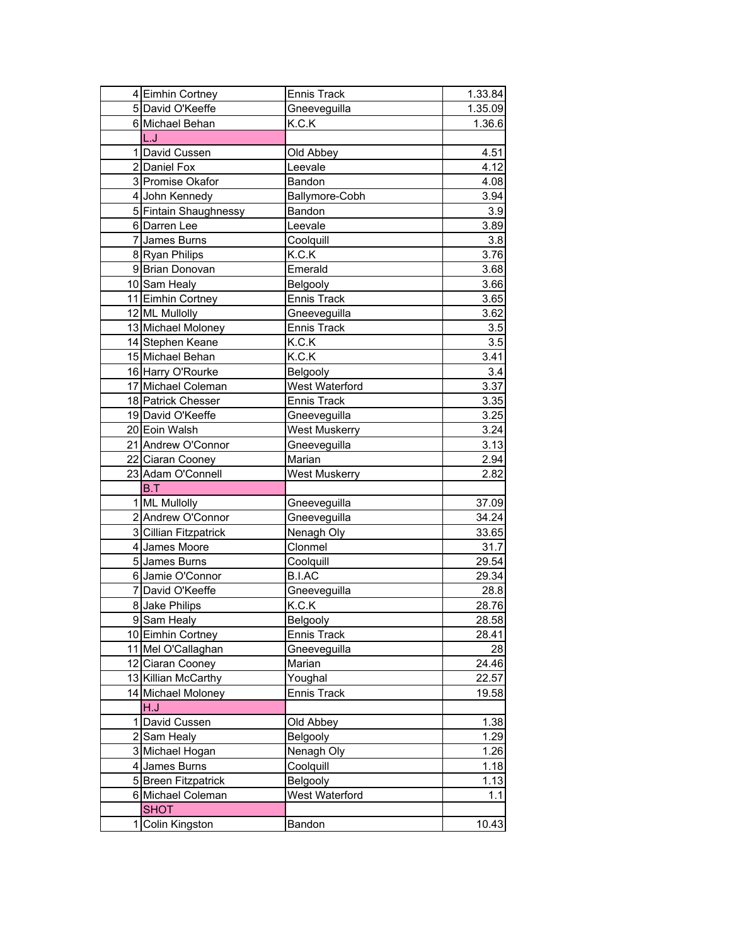| 4 Eimhin Cortney      | <b>Ennis Track</b> | 1.33.84 |
|-----------------------|--------------------|---------|
| 5 David O'Keeffe      | Gneeveguilla       | 1.35.09 |
| 6 Michael Behan       | K.C.K              | 1.36.6  |
| L.J                   |                    |         |
| 1 David Cussen        | Old Abbey          | 4.51    |
| 2 Daniel Fox          | Leevale            | 4.12    |
| 3 Promise Okafor      | Bandon             | 4.08    |
| 4 John Kennedy        | Ballymore-Cobh     | 3.94    |
| 5 Fintain Shaughnessy | Bandon             | 3.9     |
| 6 Darren Lee          | Leevale            | 3.89    |
| 7 James Burns         | Coolquill          | 3.8     |
| 8 Ryan Philips        | K.C.K              | 3.76    |
| 9 Brian Donovan       | Emerald            | 3.68    |
| 10 Sam Healy          | Belgooly           | 3.66    |
| 11 Eimhin Cortney     | <b>Ennis Track</b> | 3.65    |
| 12 ML Mullolly        | Gneeveguilla       | 3.62    |
| 13 Michael Moloney    | <b>Ennis Track</b> | 3.5     |
| 14 Stephen Keane      | K.C.K              | 3.5     |
| 15 Michael Behan      | K.C.K              | 3.41    |
| 16 Harry O'Rourke     | Belgooly           | 3.4     |
| 17 Michael Coleman    | West Waterford     | 3.37    |
| 18 Patrick Chesser    | <b>Ennis Track</b> | 3.35    |
| 19 David O'Keeffe     | Gneeveguilla       | 3.25    |
| 20 Eoin Walsh         | West Muskerry      | 3.24    |
| 21 Andrew O'Connor    | Gneeveguilla       | 3.13    |
| 22 Ciaran Cooney      | Marian             | 2.94    |
| 23 Adam O'Connell     | West Muskerry      | 2.82    |
| B.T                   |                    |         |
| 1 ML Mullolly         | Gneeveguilla       | 37.09   |
| 2 Andrew O'Connor     | Gneeveguilla       | 34.24   |
| 3 Cillian Fitzpatrick | Nenagh Oly         | 33.65   |
| 4 James Moore         | Clonmel            | 31.7    |
| 5 James Burns         | Coolquill          | 29.54   |
| 6 Jamie O'Connor      | <b>B.I.AC</b>      | 29.34   |
| 7 David O'Keeffe      | Gneeveguilla       | 28.8    |
| 8 Jake Philips        | K.C.K              | 28.76   |
| 9 Sam Healy           | <b>Belgooly</b>    | 28.58   |
| 10 Eimhin Cortney     | Ennis Track        | 28.41   |
| 11 Mel O'Callaghan    | Gneeveguilla       | 28      |
| 12 Ciaran Cooney      | Marian             | 24.46   |
| 13 Killian McCarthy   | Youghal            | 22.57   |
| 14 Michael Moloney    | <b>Ennis Track</b> | 19.58   |
| H.J                   |                    |         |
| 1 David Cussen        | Old Abbey          | 1.38    |
| 2 Sam Healy           | <b>Belgooly</b>    | 1.29    |
| 3 Michael Hogan       | Nenagh Oly         | 1.26    |
| 4 James Burns         | Coolquill          | 1.18    |
| 5 Breen Fitzpatrick   | Belgooly           | 1.13    |
| 6 Michael Coleman     | West Waterford     | 1.1     |
| <b>SHOT</b>           |                    |         |
| 1 Colin Kingston      | Bandon             | 10.43   |
|                       |                    |         |